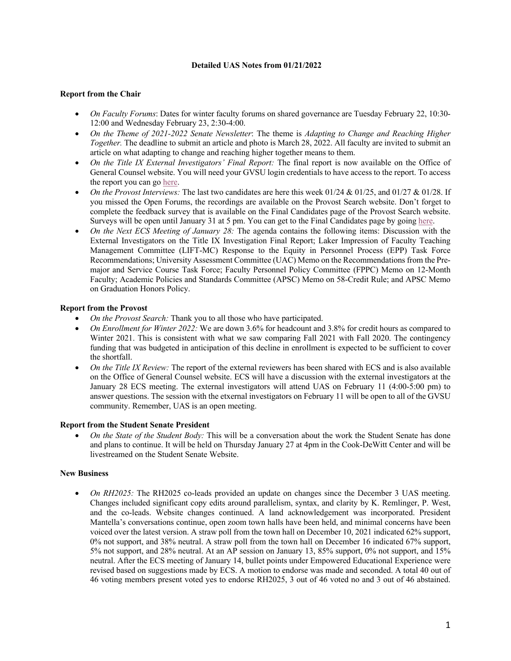# **Detailed UAS Notes from 01/21/2022**

# **Report from the Chair**

- *On Faculty Forums*: Dates for winter faculty forums on shared governance are Tuesday February 22, 10:30- 12:00 and Wednesday February 23, 2:30-4:00.
- *On the Theme of 2021-2022 Senate Newsletter*: The theme is *Adapting to Change and Reaching Higher Together.* The deadline to submit an article and photo is March 28, 2022. All faculty are invited to submit an article on what adapting to change and reaching higher together means to them.
- *On the Title IX External Investigators' Final Report:* The final report is now available on the Office of General Counsel website. You will need your GVSU login credentials to have access to the report. To access the report you can go here.
- *On the Provost Interviews:* The last two candidates are here this week 01/24 & 01/25, and 01/27 & 01/28. If you missed the Open Forums, the recordings are available on the Provost Search website. Don't forget to complete the feedback survey that is available on the Final Candidates page of the Provost Search website. Surveys will be open until January 31 at 5 pm. You can get to the Final Candidates page by going here.
- *On the Next ECS Meeting of January 28:* The agenda contains the following items: Discussion with the External Investigators on the Title IX Investigation Final Report; Laker Impression of Faculty Teaching Management Committee (LIFT-MC) Response to the Equity in Personnel Process (EPP) Task Force Recommendations; University Assessment Committee (UAC) Memo on the Recommendations from the Premajor and Service Course Task Force; Faculty Personnel Policy Committee (FPPC) Memo on 12-Month Faculty; Academic Policies and Standards Committee (APSC) Memo on 58-Credit Rule; and APSC Memo on Graduation Honors Policy.

### **Report from the Provost**

- *On the Provost Search:* Thank you to all those who have participated.
- *On Enrollment for Winter 2022:* We are down 3.6% for headcount and 3.8% for credit hours as compared to Winter 2021. This is consistent with what we saw comparing Fall 2021 with Fall 2020. The contingency funding that was budgeted in anticipation of this decline in enrollment is expected to be sufficient to cover the shortfall.
- *On the Title IX Review:* The report of the external reviewers has been shared with ECS and is also available on the Office of General Counsel website. ECS will have a discussion with the external investigators at the January 28 ECS meeting. The external investigators will attend UAS on February 11 (4:00-5:00 pm) to answer questions. The session with the etxernal investigators on February 11 will be open to all of the GVSU community. Remember, UAS is an open meeting.

### **Report from the Student Senate President**

• *On the State of the Student Body:* This will be a conversation about the work the Student Senate has done and plans to continue. It will be held on Thursday January 27 at 4pm in the Cook-DeWitt Center and will be livestreamed on the Student Senate Website.

### **New Business**

• *On RH2025:* The RH2025 co-leads provided an update on changes since the December 3 UAS meeting. Changes included significant copy edits around parallelism, syntax, and clarity by K. Remlinger, P. West, and the co-leads. Website changes continued. A land acknowledgement was incorporated. President Mantella's conversations continue, open zoom town halls have been held, and minimal concerns have been voiced over the latest version. A straw poll from the town hall on December 10, 2021 indicated 62% support, 0% not support, and 38% neutral. A straw poll from the town hall on December 16 indicated 67% support, 5% not support, and 28% neutral. At an AP session on January 13, 85% support, 0% not support, and 15% neutral. After the ECS meeting of January 14, bullet points under Empowered Educational Experience were revised based on suggestions made by ECS. A motion to endorse was made and seconded. A total 40 out of 46 voting members present voted yes to endorse RH2025, 3 out of 46 voted no and 3 out of 46 abstained.